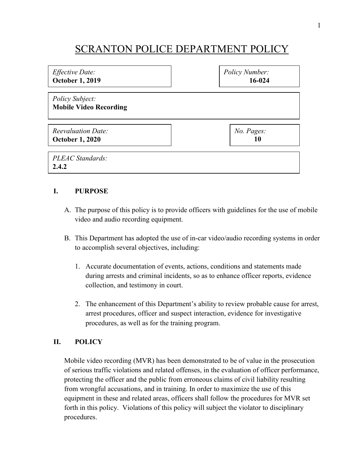# SCRANTON POLICE DEPARTMENT POLICY

| <i>Effective Date:</i>                                  | Policy Number: |
|---------------------------------------------------------|----------------|
| <b>October 1, 2019</b>                                  | 16-024         |
| <i>Policy Subject:</i><br><b>Mobile Video Recording</b> |                |
| <b>Reevaluation Date:</b>                               | No. Pages:     |
| <b>October 1, 2020</b>                                  | 10             |
| PLEAC Standards:<br>2.4.2                               |                |

## **I. PURPOSE**

- A. The purpose of this policy is to provide officers with guidelines for the use of mobile video and audio recording equipment.
- B. This Department has adopted the use of in-car video/audio recording systems in order to accomplish several objectives, including:
	- 1. Accurate documentation of events, actions, conditions and statements made during arrests and criminal incidents, so as to enhance officer reports, evidence collection, and testimony in court.
	- 2. The enhancement of this Department's ability to review probable cause for arrest, arrest procedures, officer and suspect interaction, evidence for investigative procedures, as well as for the training program.

## **II. POLICY**

Mobile video recording (MVR) has been demonstrated to be of value in the prosecution of serious traffic violations and related offenses, in the evaluation of officer performance, protecting the officer and the public from erroneous claims of civil liability resulting from wrongful accusations, and in training. In order to maximize the use of this equipment in these and related areas, officers shall follow the procedures for MVR set forth in this policy. Violations of this policy will subject the violator to disciplinary procedures.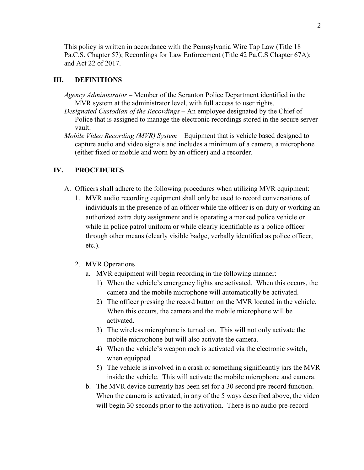This policy is written in accordance with the Pennsylvania Wire Tap Law (Title 18 Pa.C.S. Chapter 57); Recordings for Law Enforcement (Title 42 Pa.C.S Chapter 67A); and Act 22 of 2017.

#### **III. DEFINITIONS**

- *Agency Administrator* Member of the Scranton Police Department identified in the MVR system at the administrator level, with full access to user rights.
- *Designated Custodian of the Recordings* An employee designated by the Chief of Police that is assigned to manage the electronic recordings stored in the secure server vault.
- *Mobile Video Recording (MVR) System* Equipment that is vehicle based designed to capture audio and video signals and includes a minimum of a camera, a microphone (either fixed or mobile and worn by an officer) and a recorder.

#### **IV. PROCEDURES**

- A. Officers shall adhere to the following procedures when utilizing MVR equipment:
	- 1. MVR audio recording equipment shall only be used to record conversations of individuals in the presence of an officer while the officer is on-duty or working an authorized extra duty assignment and is operating a marked police vehicle or while in police patrol uniform or while clearly identifiable as a police officer through other means (clearly visible badge, verbally identified as police officer, etc.).
	- 2. MVR Operations
		- a. MVR equipment will begin recording in the following manner:
			- 1) When the vehicle's emergency lights are activated. When this occurs, the camera and the mobile microphone will automatically be activated.
			- 2) The officer pressing the record button on the MVR located in the vehicle. When this occurs, the camera and the mobile microphone will be activated.
			- 3) The wireless microphone is turned on. This will not only activate the mobile microphone but will also activate the camera.
			- 4) When the vehicle's weapon rack is activated via the electronic switch, when equipped.
			- 5) The vehicle is involved in a crash or something significantly jars the MVR inside the vehicle. This will activate the mobile microphone and camera.
		- b. The MVR device currently has been set for a 30 second pre-record function. When the camera is activated, in any of the 5 ways described above, the video will begin 30 seconds prior to the activation. There is no audio pre-record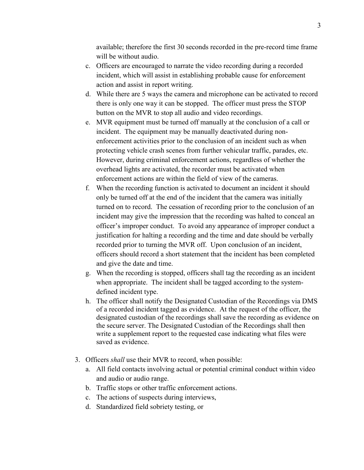available; therefore the first 30 seconds recorded in the pre-record time frame will be without audio.

- c. Officers are encouraged to narrate the video recording during a recorded incident, which will assist in establishing probable cause for enforcement action and assist in report writing.
- d. While there are 5 ways the camera and microphone can be activated to record there is only one way it can be stopped. The officer must press the STOP button on the MVR to stop all audio and video recordings.
- e. MVR equipment must be turned off manually at the conclusion of a call or incident. The equipment may be manually deactivated during nonenforcement activities prior to the conclusion of an incident such as when protecting vehicle crash scenes from further vehicular traffic, parades, etc. However, during criminal enforcement actions, regardless of whether the overhead lights are activated, the recorder must be activated when enforcement actions are within the field of view of the cameras.
- f. When the recording function is activated to document an incident it should only be turned off at the end of the incident that the camera was initially turned on to record. The cessation of recording prior to the conclusion of an incident may give the impression that the recording was halted to conceal an officer's improper conduct. To avoid any appearance of improper conduct a justification for halting a recording and the time and date should be verbally recorded prior to turning the MVR off. Upon conclusion of an incident, officers should record a short statement that the incident has been completed and give the date and time.
- g. When the recording is stopped, officers shall tag the recording as an incident when appropriate. The incident shall be tagged according to the systemdefined incident type.
- h. The officer shall notify the Designated Custodian of the Recordings via DMS of a recorded incident tagged as evidence. At the request of the officer, the designated custodian of the recordings shall save the recording as evidence on the secure server. The Designated Custodian of the Recordings shall then write a supplement report to the requested case indicating what files were saved as evidence.
- 3. Officers *shall* use their MVR to record, when possible:
	- a. All field contacts involving actual or potential criminal conduct within video and audio or audio range.
	- b. Traffic stops or other traffic enforcement actions.
	- c. The actions of suspects during interviews,
	- d. Standardized field sobriety testing, or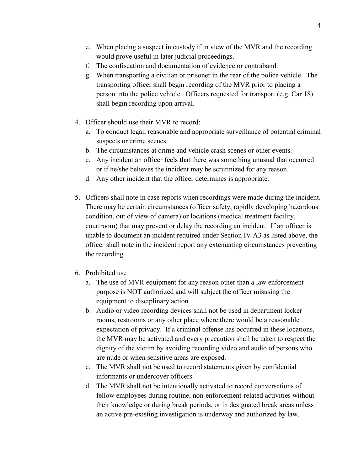- e. When placing a suspect in custody if in view of the MVR and the recording would prove useful in later judicial proceedings.
- f. The confiscation and documentation of evidence or contraband.
- g. When transporting a civilian or prisoner in the rear of the police vehicle. The transporting officer shall begin recording of the MVR prior to placing a person into the police vehicle. Officers requested for transport (e.g. Car 18) shall begin recording upon arrival.
- 4. Officer should use their MVR to record:
	- a. To conduct legal, reasonable and appropriate surveillance of potential criminal suspects or crime scenes.
	- b. The circumstances at crime and vehicle crash scenes or other events.
	- c. Any incident an officer feels that there was something unusual that occurred or if he/she believes the incident may be scrutinized for any reason.
	- d. Any other incident that the officer determines is appropriate.
- 5. Officers shall note in case reports when recordings were made during the incident. There may be certain circumstances (officer safety, rapidly developing hazardous condition, out of view of camera) or locations (medical treatment facility, courtroom) that may prevent or delay the recording an incident. If an officer is unable to document an incident required under Section IV A3 as listed above, the officer shall note in the incident report any extenuating circumstances preventing the recording.
- 6. Prohibited use
	- a. The use of MVR equipment for any reason other than a law enforcement purpose is NOT authorized and will subject the officer misusing the equipment to disciplinary action.
	- b. Audio or video recording devices shall not be used in department locker rooms, restrooms or any other place where there would be a reasonable expectation of privacy. If a criminal offense has occurred in these locations, the MVR may be activated and every precaution shall be taken to respect the dignity of the victim by avoiding recording video and audio of persons who are nude or when sensitive areas are exposed.
	- c. The MVR shall not be used to record statements given by confidential informants or undercover officers.
	- d. The MVR shall not be intentionally activated to record conversations of fellow employees during routine, non-enforcement-related activities without their knowledge or during break periods, or in designated break areas unless an active pre-existing investigation is underway and authorized by law.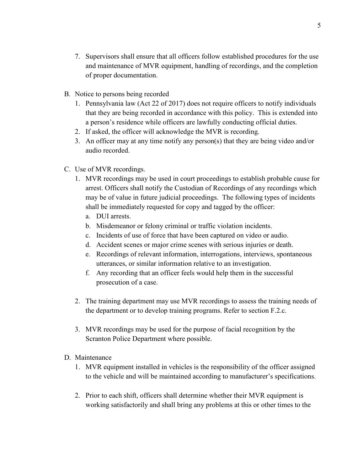- 7. Supervisors shall ensure that all officers follow established procedures for the use and maintenance of MVR equipment, handling of recordings, and the completion of proper documentation.
- B. Notice to persons being recorded
	- 1. Pennsylvania law (Act 22 of 2017) does not require officers to notify individuals that they are being recorded in accordance with this policy. This is extended into a person's residence while officers are lawfully conducting official duties.
	- 2. If asked, the officer will acknowledge the MVR is recording.
	- 3. An officer may at any time notify any person(s) that they are being video and/or audio recorded.
- C. Use of MVR recordings.
	- 1. MVR recordings may be used in court proceedings to establish probable cause for arrest. Officers shall notify the Custodian of Recordings of any recordings which may be of value in future judicial proceedings. The following types of incidents shall be immediately requested for copy and tagged by the officer:
		- a. DUI arrests.
		- b. Misdemeanor or felony criminal or traffic violation incidents.
		- c. Incidents of use of force that have been captured on video or audio.
		- d. Accident scenes or major crime scenes with serious injuries or death.
		- e. Recordings of relevant information, interrogations, interviews, spontaneous utterances, or similar information relative to an investigation.
		- f. Any recording that an officer feels would help them in the successful prosecution of a case.
	- 2. The training department may use MVR recordings to assess the training needs of the department or to develop training programs. Refer to section F.2.c.
	- 3. MVR recordings may be used for the purpose of facial recognition by the Scranton Police Department where possible.
- D. Maintenance
	- 1. MVR equipment installed in vehicles is the responsibility of the officer assigned to the vehicle and will be maintained according to manufacturer's specifications.
	- 2. Prior to each shift, officers shall determine whether their MVR equipment is working satisfactorily and shall bring any problems at this or other times to the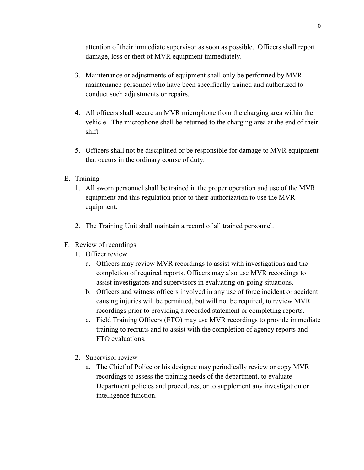attention of their immediate supervisor as soon as possible. Officers shall report damage, loss or theft of MVR equipment immediately.

- 3. Maintenance or adjustments of equipment shall only be performed by MVR maintenance personnel who have been specifically trained and authorized to conduct such adjustments or repairs.
- 4. All officers shall secure an MVR microphone from the charging area within the vehicle. The microphone shall be returned to the charging area at the end of their shift.
- 5. Officers shall not be disciplined or be responsible for damage to MVR equipment that occurs in the ordinary course of duty.
- E. Training
	- 1. All sworn personnel shall be trained in the proper operation and use of the MVR equipment and this regulation prior to their authorization to use the MVR equipment.
	- 2. The Training Unit shall maintain a record of all trained personnel.
- F. Review of recordings
	- 1. Officer review
		- a. Officers may review MVR recordings to assist with investigations and the completion of required reports. Officers may also use MVR recordings to assist investigators and supervisors in evaluating on-going situations.
		- b. Officers and witness officers involved in any use of force incident or accident causing injuries will be permitted, but will not be required, to review MVR recordings prior to providing a recorded statement or completing reports.
		- c. Field Training Officers (FTO) may use MVR recordings to provide immediate training to recruits and to assist with the completion of agency reports and FTO evaluations.
	- 2. Supervisor review
		- a. The Chief of Police or his designee may periodically review or copy MVR recordings to assess the training needs of the department, to evaluate Department policies and procedures, or to supplement any investigation or intelligence function.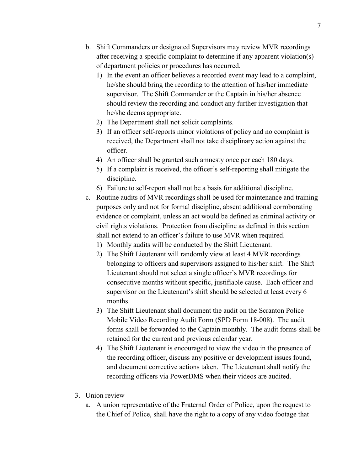- b. Shift Commanders or designated Supervisors may review MVR recordings after receiving a specific complaint to determine if any apparent violation(s) of department policies or procedures has occurred.
	- 1) In the event an officer believes a recorded event may lead to a complaint, he/she should bring the recording to the attention of his/her immediate supervisor. The Shift Commander or the Captain in his/her absence should review the recording and conduct any further investigation that he/she deems appropriate.
	- 2) The Department shall not solicit complaints.
	- 3) If an officer self-reports minor violations of policy and no complaint is received, the Department shall not take disciplinary action against the officer.
	- 4) An officer shall be granted such amnesty once per each 180 days.
	- 5) If a complaint is received, the officer's self-reporting shall mitigate the discipline.
	- 6) Failure to self-report shall not be a basis for additional discipline.
- c. Routine audits of MVR recordings shall be used for maintenance and training purposes only and not for formal discipline, absent additional corroborating evidence or complaint, unless an act would be defined as criminal activity or civil rights violations. Protection from discipline as defined in this section shall not extend to an officer's failure to use MVR when required.
	- 1) Monthly audits will be conducted by the Shift Lieutenant.
	- 2) The Shift Lieutenant will randomly view at least 4 MVR recordings belonging to officers and supervisors assigned to his/her shift. The Shift Lieutenant should not select a single officer's MVR recordings for consecutive months without specific, justifiable cause. Each officer and supervisor on the Lieutenant's shift should be selected at least every 6 months.
	- 3) The Shift Lieutenant shall document the audit on the Scranton Police Mobile Video Recording Audit Form (SPD Form 18-008). The audit forms shall be forwarded to the Captain monthly. The audit forms shall be retained for the current and previous calendar year.
	- 4) The Shift Lieutenant is encouraged to view the video in the presence of the recording officer, discuss any positive or development issues found, and document corrective actions taken. The Lieutenant shall notify the recording officers via PowerDMS when their videos are audited.
- 3. Union review
	- a. A union representative of the Fraternal Order of Police, upon the request to the Chief of Police, shall have the right to a copy of any video footage that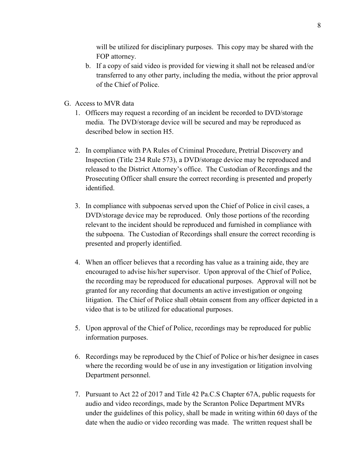will be utilized for disciplinary purposes. This copy may be shared with the FOP attorney.

- b. If a copy of said video is provided for viewing it shall not be released and/or transferred to any other party, including the media, without the prior approval of the Chief of Police.
- G. Access to MVR data
	- 1. Officers may request a recording of an incident be recorded to DVD/storage media. The DVD/storage device will be secured and may be reproduced as described below in section H5.
	- 2. In compliance with PA Rules of Criminal Procedure, Pretrial Discovery and Inspection (Title 234 Rule 573), a DVD/storage device may be reproduced and released to the District Attorney's office. The Custodian of Recordings and the Prosecuting Officer shall ensure the correct recording is presented and properly identified.
	- 3. In compliance with subpoenas served upon the Chief of Police in civil cases, a DVD/storage device may be reproduced. Only those portions of the recording relevant to the incident should be reproduced and furnished in compliance with the subpoena. The Custodian of Recordings shall ensure the correct recording is presented and properly identified.
	- 4. When an officer believes that a recording has value as a training aide, they are encouraged to advise his/her supervisor. Upon approval of the Chief of Police, the recording may be reproduced for educational purposes. Approval will not be granted for any recording that documents an active investigation or ongoing litigation. The Chief of Police shall obtain consent from any officer depicted in a video that is to be utilized for educational purposes.
	- 5. Upon approval of the Chief of Police, recordings may be reproduced for public information purposes.
	- 6. Recordings may be reproduced by the Chief of Police or his/her designee in cases where the recording would be of use in any investigation or litigation involving Department personnel.
	- 7. Pursuant to Act 22 of 2017 and Title 42 Pa.C.S Chapter 67A, public requests for audio and video recordings, made by the Scranton Police Department MVRs under the guidelines of this policy, shall be made in writing within 60 days of the date when the audio or video recording was made. The written request shall be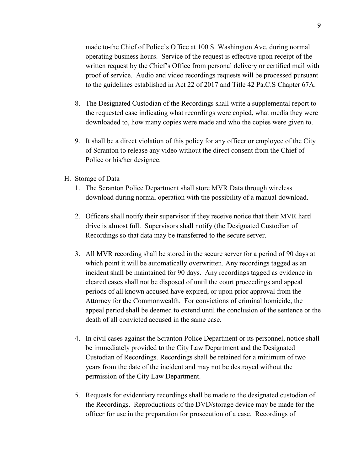made to the Chief of Police's Office at 100 S. Washington Ave. during normal operating business hours. Service of the request is effective upon receipt of the written request by the Chief's Office from personal delivery or certified mail with proof of service. Audio and video recordings requests will be processed pursuant to the guidelines established in Act 22 of 2017 and Title 42 Pa.C.S Chapter 67A.

- 8. The Designated Custodian of the Recordings shall write a supplemental report to the requested case indicating what recordings were copied, what media they were downloaded to, how many copies were made and who the copies were given to.
- 9. It shall be a direct violation of this policy for any officer or employee of the City of Scranton to release any video without the direct consent from the Chief of Police or his/her designee.
- H. Storage of Data
	- 1. The Scranton Police Department shall store MVR Data through wireless download during normal operation with the possibility of a manual download.
	- 2. Officers shall notify their supervisor if they receive notice that their MVR hard drive is almost full. Supervisors shall notify (the Designated Custodian of Recordings so that data may be transferred to the secure server.
	- 3. All MVR recording shall be stored in the secure server for a period of 90 days at which point it will be automatically overwritten. Any recordings tagged as an incident shall be maintained for 90 days. Any recordings tagged as evidence in cleared cases shall not be disposed of until the court proceedings and appeal periods of all known accused have expired, or upon prior approval from the Attorney for the Commonwealth. For convictions of criminal homicide, the appeal period shall be deemed to extend until the conclusion of the sentence or the death of all convicted accused in the same case.
	- 4. In civil cases against the Scranton Police Department or its personnel, notice shall be immediately provided to the City Law Department and the Designated Custodian of Recordings. Recordings shall be retained for a minimum of two years from the date of the incident and may not be destroyed without the permission of the City Law Department.
	- 5. Requests for evidentiary recordings shall be made to the designated custodian of the Recordings. Reproductions of the DVD/storage device may be made for the officer for use in the preparation for prosecution of a case. Recordings of